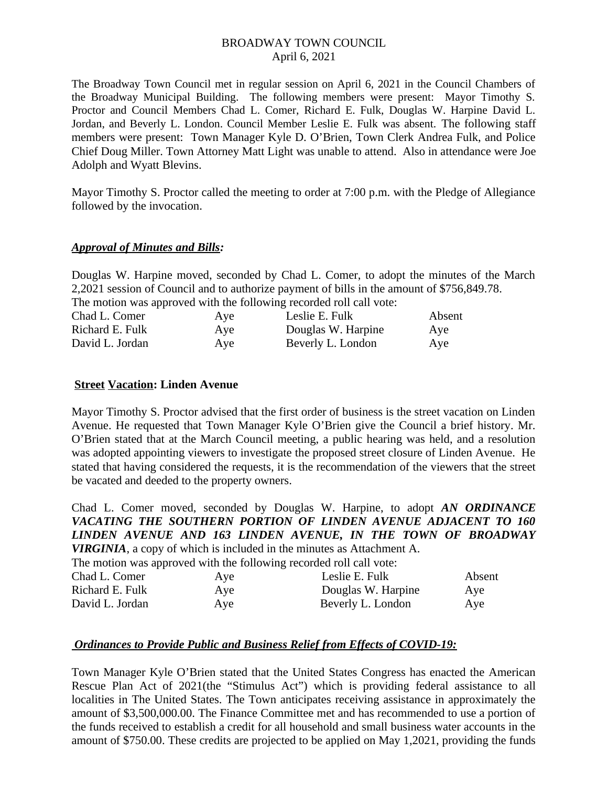The Broadway Town Council met in regular session on April 6, 2021 in the Council Chambers of the Broadway Municipal Building. The following members were present: Mayor Timothy S. Proctor and Council Members Chad L. Comer, Richard E. Fulk, Douglas W. Harpine David L. Jordan, and Beverly L. London. Council Member Leslie E. Fulk was absent. The following staff members were present: Town Manager Kyle D. O'Brien, Town Clerk Andrea Fulk, and Police Chief Doug Miller. Town Attorney Matt Light was unable to attend. Also in attendance were Joe Adolph and Wyatt Blevins.

Mayor Timothy S. Proctor called the meeting to order at 7:00 p.m. with the Pledge of Allegiance followed by the invocation.

#### *Approval of Minutes and Bills:*

Douglas W. Harpine moved, seconded by Chad L. Comer, to adopt the minutes of the March 2,2021 session of Council and to authorize payment of bills in the amount of \$756,849.78. The motion was approved with the following recorded roll call vote:

| Chad L. Comer   | Aye | Leslie E. Fulk     | Absent |
|-----------------|-----|--------------------|--------|
| Richard E. Fulk | Aye | Douglas W. Harpine | Aye    |
| David L. Jordan | Aye | Beverly L. London  | Aye    |

# **Street Vacation: Linden Avenue**

Mayor Timothy S. Proctor advised that the first order of business is the street vacation on Linden Avenue. He requested that Town Manager Kyle O'Brien give the Council a brief history. Mr. O'Brien stated that at the March Council meeting, a public hearing was held, and a resolution was adopted appointing viewers to investigate the proposed street closure of Linden Avenue. He stated that having considered the requests, it is the recommendation of the viewers that the street be vacated and deeded to the property owners.

Chad L. Comer moved, seconded by Douglas W. Harpine, to adopt *AN ORDINANCE VACATING THE SOUTHERN PORTION OF LINDEN AVENUE ADJACENT TO 160 LINDEN AVENUE AND 163 LINDEN AVENUE, IN THE TOWN OF BROADWAY VIRGINIA*, a copy of which is included in the minutes as Attachment A.

The motion was approved with the following recorded roll call vote:

| Aye | Leslie E. Fulk     | Absent |
|-----|--------------------|--------|
| Aye | Douglas W. Harpine | Aye    |
| Ave | Beverly L. London  | Aye    |
|     |                    |        |

# *Ordinances to Provide Public and Business Relief from Effects of COVID-19:*

Town Manager Kyle O'Brien stated that the United States Congress has enacted the American Rescue Plan Act of 2021(the "Stimulus Act") which is providing federal assistance to all localities in The United States. The Town anticipates receiving assistance in approximately the amount of \$3,500,000.00. The Finance Committee met and has recommended to use a portion of the funds received to establish a credit for all household and small business water accounts in the amount of \$750.00. These credits are projected to be applied on May 1,2021, providing the funds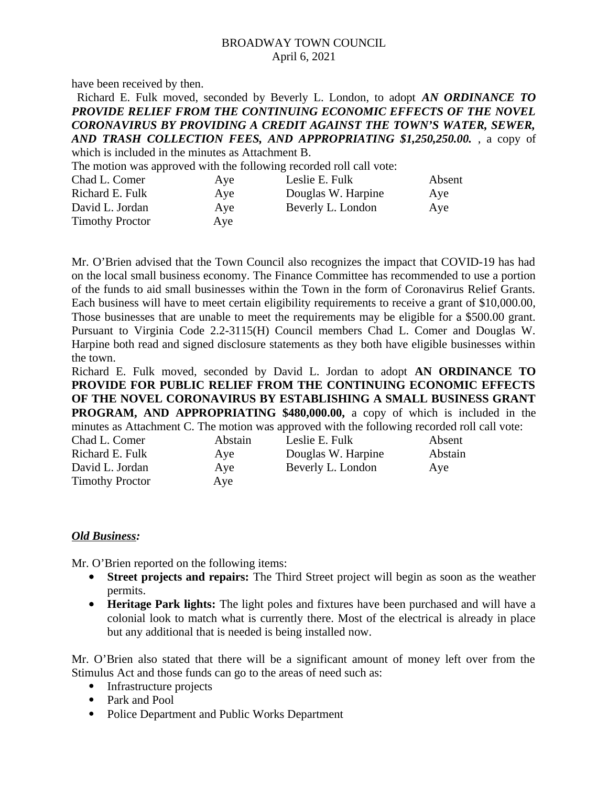have been received by then.

| Richard E. Fulk moved, seconded by Beverly L. London, to adopt AN ORDINANCE TO                                 |  |  |  |
|----------------------------------------------------------------------------------------------------------------|--|--|--|
| PROVIDE RELIEF FROM THE CONTINUING ECONOMIC EFFECTS OF THE NOVEL                                               |  |  |  |
| <b>CORONAVIRUS BY PROVIDING A CREDIT AGAINST THE TOWN'S WATER, SEWER,</b>                                      |  |  |  |
| AND TRASH COLLECTION FEES, AND APPROPRIATING \$1,250,250.00. , a copy of                                       |  |  |  |
| which is included in the minutes as Attachment B.                                                              |  |  |  |
| The motion was approved with the following recorded roll call vote:                                            |  |  |  |
| $\alpha$ is $\alpha$ is a set of $\alpha$ is the set of $\alpha$ is the set of $\alpha$ is the set of $\alpha$ |  |  |  |

| Ave | Leslie E. Fulk     | Absent |
|-----|--------------------|--------|
| Aye | Douglas W. Harpine | Aye    |
| Ave | Beverly L. London  | Aye    |
| Ave |                    |        |
|     |                    |        |

Mr. O'Brien advised that the Town Council also recognizes the impact that COVID-19 has had on the local small business economy. The Finance Committee has recommended to use a portion of the funds to aid small businesses within the Town in the form of Coronavirus Relief Grants. Each business will have to meet certain eligibility requirements to receive a grant of \$10,000.00, Those businesses that are unable to meet the requirements may be eligible for a \$500.00 grant. Pursuant to Virginia Code 2.2-3115(H) Council members Chad L. Comer and Douglas W. Harpine both read and signed disclosure statements as they both have eligible businesses within the town.

Richard E. Fulk moved, seconded by David L. Jordan to adopt **AN ORDINANCE TO PROVIDE FOR PUBLIC RELIEF FROM THE CONTINUING ECONOMIC EFFECTS OF THE NOVEL CORONAVIRUS BY ESTABLISHING A SMALL BUSINESS GRANT PROGRAM, AND APPROPRIATING \$480,000.00,** a copy of which is included in the minutes as Attachment C. The motion was approved with the following recorded roll call vote:

| Chad L. Comer          | Abstain | Leslie E. Fulk     | Absent  |
|------------------------|---------|--------------------|---------|
| Richard E. Fulk        | Aye     | Douglas W. Harpine | Abstain |
| David L. Jordan        | Aye     | Beverly L. London  | Ave     |
| <b>Timothy Proctor</b> | Aye     |                    |         |
|                        |         |                    |         |

#### *Old Business:*

Mr. O'Brien reported on the following items:

- **Street projects and repairs:** The Third Street project will begin as soon as the weather permits.
- **Heritage Park lights:** The light poles and fixtures have been purchased and will have a colonial look to match what is currently there. Most of the electrical is already in place but any additional that is needed is being installed now.

Mr. O'Brien also stated that there will be a significant amount of money left over from the Stimulus Act and those funds can go to the areas of need such as:

- Infrastructure projects
- Park and Pool
- Police Department and Public Works Department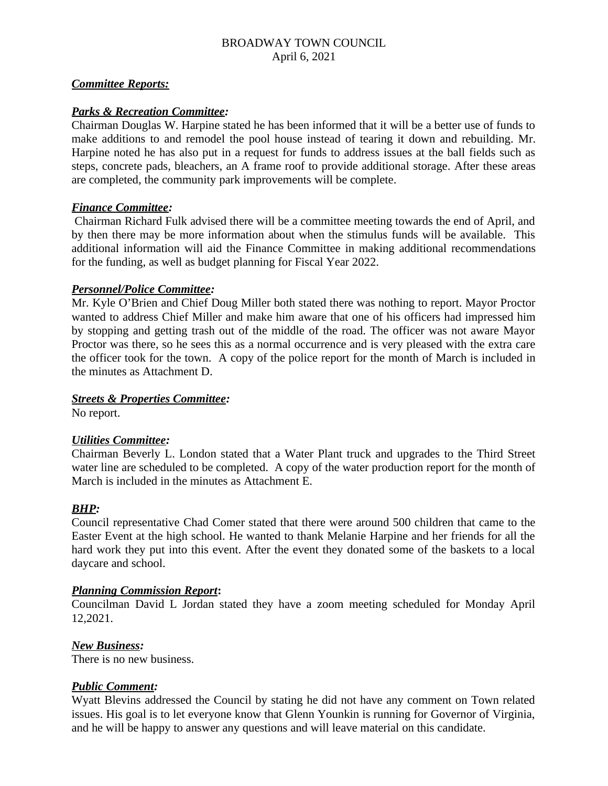## *Committee Reports:*

## *Parks & Recreation Committee:*

Chairman Douglas W. Harpine stated he has been informed that it will be a better use of funds to make additions to and remodel the pool house instead of tearing it down and rebuilding. Mr. Harpine noted he has also put in a request for funds to address issues at the ball fields such as steps, concrete pads, bleachers, an A frame roof to provide additional storage. After these areas are completed, the community park improvements will be complete.

#### *Finance Committee:*

 Chairman Richard Fulk advised there will be a committee meeting towards the end of April, and by then there may be more information about when the stimulus funds will be available. This additional information will aid the Finance Committee in making additional recommendations for the funding, as well as budget planning for Fiscal Year 2022.

#### *Personnel/Police Committee:*

Mr. Kyle O'Brien and Chief Doug Miller both stated there was nothing to report. Mayor Proctor wanted to address Chief Miller and make him aware that one of his officers had impressed him by stopping and getting trash out of the middle of the road. The officer was not aware Mayor Proctor was there, so he sees this as a normal occurrence and is very pleased with the extra care the officer took for the town. A copy of the police report for the month of March is included in the minutes as Attachment D.

#### *Streets & Properties Committee:*

No report.

#### *Utilities Committee:*

Chairman Beverly L. London stated that a Water Plant truck and upgrades to the Third Street water line are scheduled to be completed. A copy of the water production report for the month of March is included in the minutes as Attachment E.

#### *BHP:*

Council representative Chad Comer stated that there were around 500 children that came to the Easter Event at the high school. He wanted to thank Melanie Harpine and her friends for all the hard work they put into this event. After the event they donated some of the baskets to a local daycare and school.

#### *Planning Commission Report***:**

Councilman David L Jordan stated they have a zoom meeting scheduled for Monday April 12,2021.

#### *New Business:*

There is no new business.

## *Public Comment:*

Wyatt Blevins addressed the Council by stating he did not have any comment on Town related issues. His goal is to let everyone know that Glenn Younkin is running for Governor of Virginia, and he will be happy to answer any questions and will leave material on this candidate.